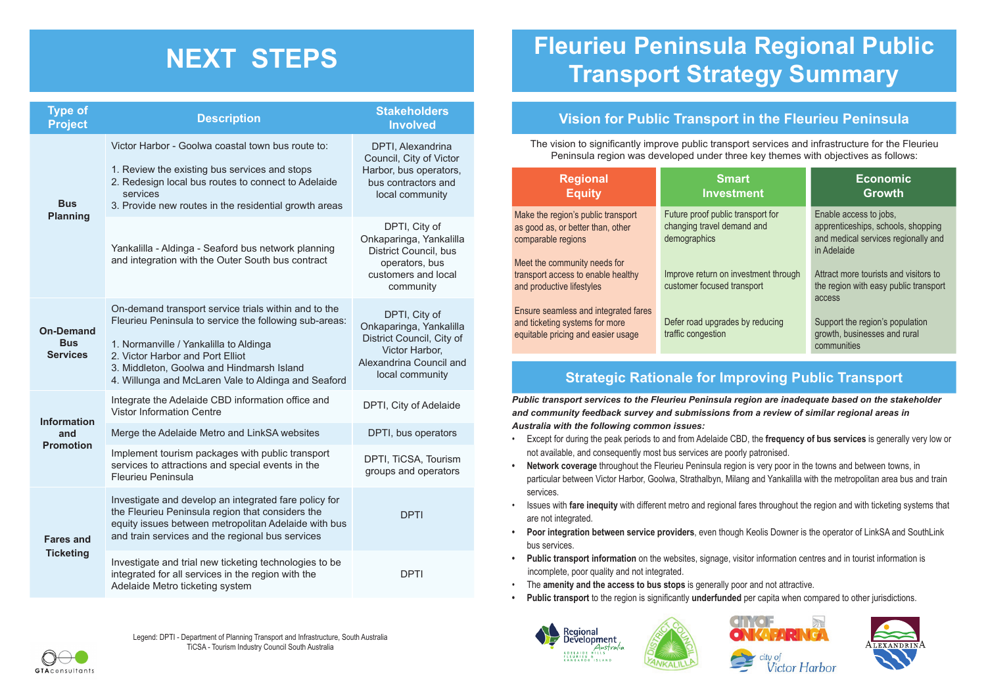# **NEXT STEPS**

#### **Strategic Rationale for Improving Public Transport**

*Public transport services to the Fleurieu Peninsula region are inadequate based on the stakeholder and community feedback survey and submissions from a review of similar regional areas in Australia with the following common issues:*

- Except for during the peak periods to and from Adelaide CBD, the **frequency of bus services** is generally very low or not available, and consequently most bus services are poorly patronised.
- **• Network coverage** throughout the Fleurieu Peninsula region is very poor in the towns and between towns, in particular between Victor Harbor, Goolwa, Strathalbyn, Milang and Yankalilla with the metropolitan area bus and train services.
- Issues with **fare inequity** with different metro and regional fares throughout the region and with ticketing systems that are not integrated.
- **• Poor integration between service providers**, even though Keolis Downer is the operator of LinkSA and SouthLink bus services.
- **• Public transport information** on the websites, signage, visitor information centres and in tourist information is incomplete, poor quality and not integrated.
- The **amenity and the access to bus stops** is generally poor and not attractive.
- **• Public transport** to the region is significantly **underfunded** per capita when compared to other jurisdictions.







| rators,<br>and<br>hity   | <b>Regional</b><br><b>Equity</b>     | <b>Smart</b><br><b>Investment</b>    | <b>Economic</b><br><b>Growth</b>                   |
|--------------------------|--------------------------------------|--------------------------------------|----------------------------------------------------|
|                          | Make the region's public transport   | Future proof public transport for    | Enable access to jobs,                             |
| эf                       | as good as, or better than, other    | changing travel demand and           | apprenticeships, schools, shopping                 |
| nkalilla                 | comparable regions                   | demographics                         | and medical services regionally and<br>in Adelaide |
| , bus<br><b>US</b>       | Meet the community needs for         |                                      |                                                    |
| local                    | transport access to enable healthy   | Improve return on investment through | Attract more tourists and visitors to              |
|                          | and productive lifestyles            | customer focused transport           | the region with easy public transport              |
|                          |                                      |                                      | access                                             |
| рf                       | Ensure seamless and integrated fares |                                      |                                                    |
| nkalilla                 | and ticketing systems for more       | Defer road upgrades by reducing      | Support the region's population                    |
| City of                  | equitable pricing and easier usage   | traffic congestion                   | growth, businesses and rural<br>communities        |
| pr.                      |                                      |                                      |                                                    |
| <b>ncil</b> and<br>- 11. |                                      |                                      |                                                    |

| <b>Type of</b><br><b>Project</b>                  | <b>Description</b>                                                                                                                                                                                                                                                                               | <b>Stakeholders</b><br><b>Involved</b>                                                                                                       |
|---------------------------------------------------|--------------------------------------------------------------------------------------------------------------------------------------------------------------------------------------------------------------------------------------------------------------------------------------------------|----------------------------------------------------------------------------------------------------------------------------------------------|
| <b>Bus</b>                                        | Victor Harbor - Goolwa coastal town bus route to:<br>1. Review the existing bus services and stops<br>2. Redesign local bus routes to connect to Adelaide<br>services<br>3. Provide new routes in the residential growth areas                                                                   | DPTI, Alexandrina<br>Council, City of Victor<br>Harbor, bus operators,<br>bus contractors and<br>local community                             |
| <b>Planning</b>                                   | Yankalilla - Aldinga - Seaford bus network planning<br>and integration with the Outer South bus contract                                                                                                                                                                                         | DPTI, City of<br>Onkaparinga, Yankalilla<br><b>District Council, bus</b><br>operators, bus<br>customers and local<br>community               |
| <b>On-Demand</b><br><b>Bus</b><br><b>Services</b> | On-demand transport service trials within and to the<br>Fleurieu Peninsula to service the following sub-areas:<br>1. Normanville / Yankalilla to Aldinga<br>2. Victor Harbor and Port Elliot<br>3. Middleton, Goolwa and Hindmarsh Island<br>4. Willunga and McLaren Vale to Aldinga and Seaford | DPTI, City of<br>Onkaparinga, Yankalilla<br>District Council, City of<br>Victor Harbor,<br><b>Alexandrina Council and</b><br>local community |
| <b>Information</b>                                | Integrate the Adelaide CBD information office and<br><b>Vistor Information Centre</b>                                                                                                                                                                                                            | DPTI, City of Adelaide                                                                                                                       |
| and                                               | Merge the Adelaide Metro and LinkSA websites                                                                                                                                                                                                                                                     | DPTI, bus operators                                                                                                                          |
| <b>Promotion</b>                                  | Implement tourism packages with public transport<br>services to attractions and special events in the<br><b>Fleurieu Peninsula</b>                                                                                                                                                               | DPTI, TiCSA, Tourism<br>groups and operators                                                                                                 |
| <b>Fares and</b>                                  | Investigate and develop an integrated fare policy for<br>the Fleurieu Peninsula region that considers the<br>equity issues between metropolitan Adelaide with bus<br>and train services and the regional bus services                                                                            | <b>DPTI</b>                                                                                                                                  |
| <b>Ticketing</b>                                  | Investigate and trial new ticketing technologies to be<br>integrated for all services in the region with the<br>Adelaide Metro ticketing system                                                                                                                                                  | <b>DPTI</b>                                                                                                                                  |

The vision to significantly improve public transport services and infrastructure for the Fleurieu Peninsula region was developed under three key themes with objectives as follows:

Legend: DPTI - Department of Planning Transport and Infrastructure, South Australia TiCSA - Tourism Industry Council South Australia







## **Fleurieu Peninsula Regional Public Transport Strategy Summary**

#### **Vision for Public Transport in the Fleurieu Peninsula**